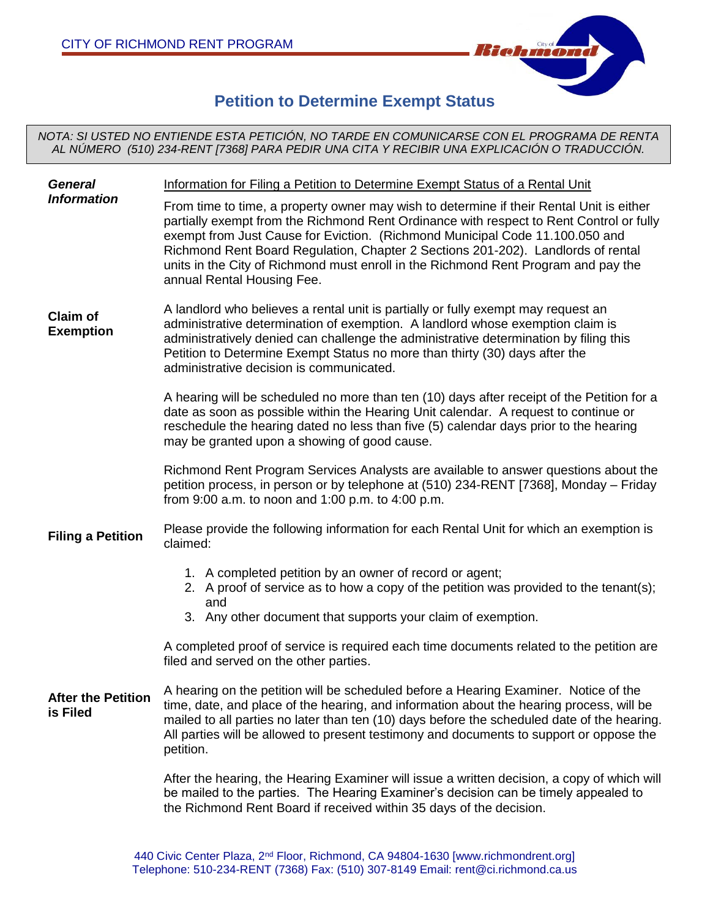

# **Petition to Determine Exempt Status**

*NOTA: SI USTED NO ENTIENDE ESTA PETICIÓN, NO TARDE EN COMUNICARSE CON EL PROGRAMA DE RENTA AL NÚMERO (510) 234-RENT [7368] PARA PEDIR UNA CITA Y RECIBIR UNA EXPLICACIÓN O TRADUCCIÓN.*

| <b>General</b><br><b>Information</b>  | Information for Filing a Petition to Determine Exempt Status of a Rental Unit<br>From time to time, a property owner may wish to determine if their Rental Unit is either<br>partially exempt from the Richmond Rent Ordinance with respect to Rent Control or fully<br>exempt from Just Cause for Eviction. (Richmond Municipal Code 11.100.050 and<br>Richmond Rent Board Regulation, Chapter 2 Sections 201-202). Landlords of rental<br>units in the City of Richmond must enroll in the Richmond Rent Program and pay the<br>annual Rental Housing Fee. |
|---------------------------------------|--------------------------------------------------------------------------------------------------------------------------------------------------------------------------------------------------------------------------------------------------------------------------------------------------------------------------------------------------------------------------------------------------------------------------------------------------------------------------------------------------------------------------------------------------------------|
| <b>Claim of</b><br><b>Exemption</b>   | A landlord who believes a rental unit is partially or fully exempt may request an<br>administrative determination of exemption. A landlord whose exemption claim is<br>administratively denied can challenge the administrative determination by filing this<br>Petition to Determine Exempt Status no more than thirty (30) days after the<br>administrative decision is communicated.                                                                                                                                                                      |
|                                       | A hearing will be scheduled no more than ten (10) days after receipt of the Petition for a<br>date as soon as possible within the Hearing Unit calendar. A request to continue or<br>reschedule the hearing dated no less than five (5) calendar days prior to the hearing<br>may be granted upon a showing of good cause.                                                                                                                                                                                                                                   |
|                                       | Richmond Rent Program Services Analysts are available to answer questions about the<br>petition process, in person or by telephone at (510) 234-RENT [7368], Monday – Friday<br>from 9:00 a.m. to noon and 1:00 p.m. to 4:00 p.m.                                                                                                                                                                                                                                                                                                                            |
| <b>Filing a Petition</b>              | Please provide the following information for each Rental Unit for which an exemption is<br>claimed:                                                                                                                                                                                                                                                                                                                                                                                                                                                          |
|                                       | 1. A completed petition by an owner of record or agent;<br>2. A proof of service as to how a copy of the petition was provided to the tenant(s);<br>and<br>3. Any other document that supports your claim of exemption.                                                                                                                                                                                                                                                                                                                                      |
|                                       | A completed proof of service is required each time documents related to the petition are<br>filed and served on the other parties.                                                                                                                                                                                                                                                                                                                                                                                                                           |
| <b>After the Petition</b><br>is Filed | A hearing on the petition will be scheduled before a Hearing Examiner. Notice of the<br>time, date, and place of the hearing, and information about the hearing process, will be<br>mailed to all parties no later than ten (10) days before the scheduled date of the hearing.<br>All parties will be allowed to present testimony and documents to support or oppose the<br>petition.                                                                                                                                                                      |
|                                       | After the hearing, the Hearing Examiner will issue a written decision, a copy of which will<br>be mailed to the parties. The Hearing Examiner's decision can be timely appealed to<br>the Richmond Rent Board if received within 35 days of the decision.                                                                                                                                                                                                                                                                                                    |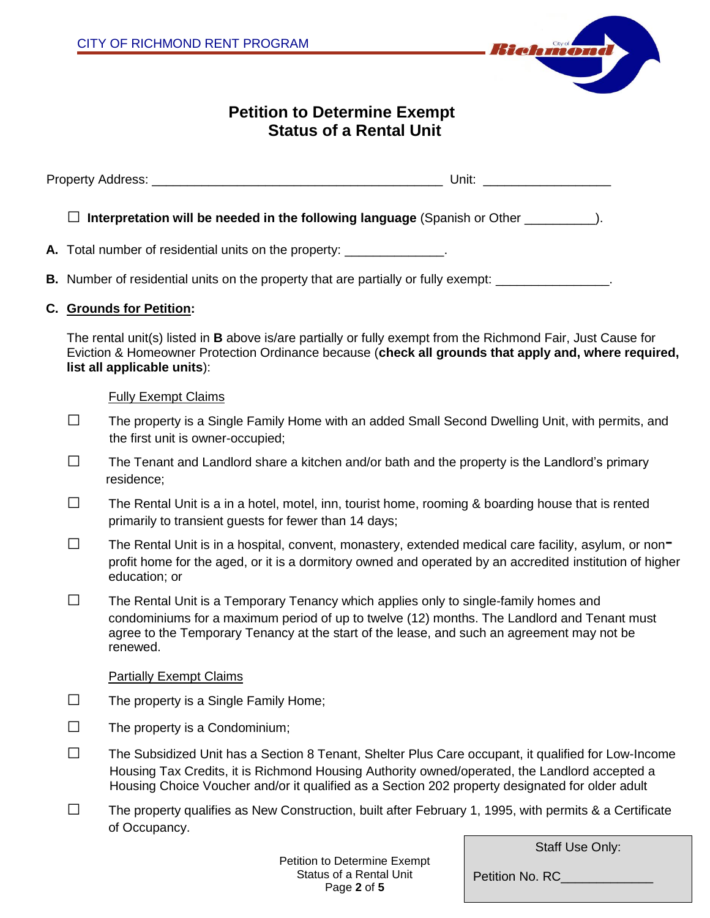

## **Petition to Determine Exempt Status of a Rental Unit**

| $\sim$<br>--<br>- 11-11 | Unit |
|-------------------------|------|
|-------------------------|------|

□ **Interpretation will be needed in the following language** (Spanish or Other \_\_\_\_\_\_\_\_\_\_).

- **A.** Total number of residential units on the property: \_\_\_\_\_\_\_\_\_\_\_\_\_\_.
- **B.** Number of residential units on the property that are partially or fully exempt: \_\_\_\_\_\_\_\_\_\_\_\_\_\_\_.

#### **C. Grounds for Petition:**

The rental unit(s) listed in **B** above is/are partially or fully exempt from the Richmond Fair, Just Cause for Eviction & Homeowner Protection Ordinance because (**check all grounds that apply and, where required, list all applicable units**):

#### Fully Exempt Claims

- □ The property is a Single Family Home with an added Small Second Dwelling Unit, with permits, and the first unit is owner-occupied;
- $\square$  The Tenant and Landlord share a kitchen and/or bath and the property is the Landlord's primary residence;
- $\square$  The Rental Unit is a in a hotel, motel, inn, tourist home, rooming & boarding house that is rented primarily to transient guests for fewer than 14 days;
- $\square$  The Rental Unit is in a hospital, convent, monastery, extended medical care facility, asylum, or non profit home for the aged, or it is a dormitory owned and operated by an accredited institution of higher education; or
- $\square$  The Rental Unit is a Temporary Tenancy which applies only to single-family homes and condominiums for a maximum period of up to twelve (12) months. The Landlord and Tenant must agree to the Temporary Tenancy at the start of the lease, and such an agreement may not be renewed.

#### Partially Exempt Claims

- $\Box$  The property is a Single Family Home;
- $\Box$  The property is a Condominium;
- □ The Subsidized Unit has a Section 8 Tenant, Shelter Plus Care occupant, it qualified for Low-Income Housing Tax Credits, it is Richmond Housing Authority owned/operated, the Landlord accepted a Housing Choice Voucher and/or it qualified as a Section 202 property designated for older adult
- $\square$  The property qualifies as New Construction, built after February 1, 1995, with permits & a Certificate of Occupancy.

Staff Use Only:

Petition No. RC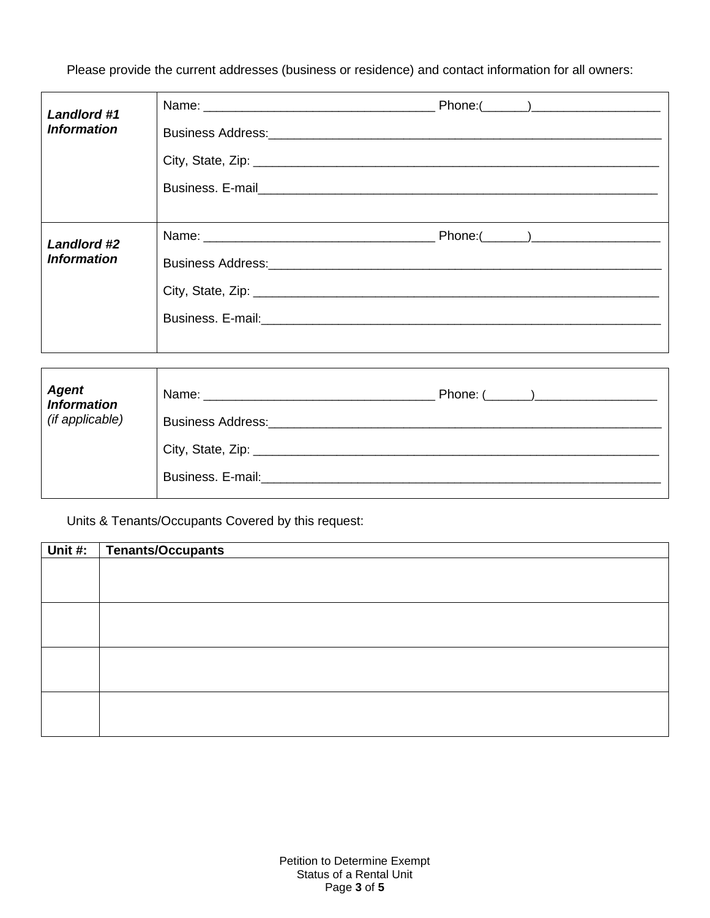Please provide the current addresses (business or residence) and contact information for all owners:

| <b>Landlord #1</b><br><b>Information</b> |                                                                                                                                                                                                                                                                                                                                                        |  |
|------------------------------------------|--------------------------------------------------------------------------------------------------------------------------------------------------------------------------------------------------------------------------------------------------------------------------------------------------------------------------------------------------------|--|
| Landlord #2<br><b>Information</b>        | City, State, Zip: 2008. Example 2014 19: 2014 19: 2015 19: 2016. The City Assembly 2016. The City Assembly 201<br>Business. E-mail: <u>Contract Communications of the set of the set of the set of the set of the set of the set of the set of the set of the set of the set of the set of the set of the set of the set of the set of the set of </u> |  |

| <b>Agent</b><br>Information<br>(if applicable) | <b>Business Address:</b> |
|------------------------------------------------|--------------------------|
|                                                | Business. E-mail:        |

Units & Tenants/Occupants Covered by this request:

| Unit #: | Tenants/Occupants |
|---------|-------------------|
|         |                   |
|         |                   |
|         |                   |
|         |                   |
|         |                   |
|         |                   |
|         |                   |
|         |                   |
|         |                   |
|         |                   |
|         |                   |
|         |                   |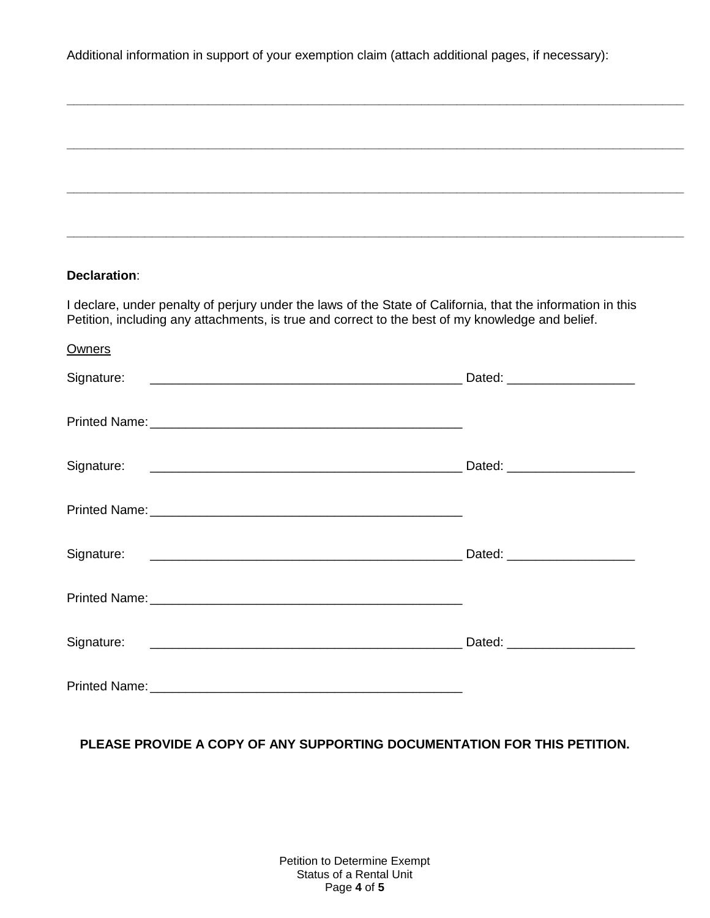Additional information in support of your exemption claim (attach additional pages, if necessary):

**\_\_\_\_\_\_\_\_\_\_\_\_\_\_\_\_\_\_\_\_\_\_\_\_\_\_\_\_\_\_\_\_\_\_\_\_\_\_\_\_\_\_\_\_\_\_\_\_\_\_\_\_\_\_\_\_\_\_\_\_\_\_\_\_\_\_\_\_\_\_\_\_\_\_\_\_\_\_\_\_\_\_\_\_\_\_\_**

| Declaration:                                                                                     |                                                                                                                        |
|--------------------------------------------------------------------------------------------------|------------------------------------------------------------------------------------------------------------------------|
| Petition, including any attachments, is true and correct to the best of my knowledge and belief. | I declare, under penalty of perjury under the laws of the State of California, that the information in this            |
| <b>Owners</b>                                                                                    |                                                                                                                        |
| Signature:                                                                                       | Dated: _______________________                                                                                         |
|                                                                                                  |                                                                                                                        |
| Signature:                                                                                       |                                                                                                                        |
|                                                                                                  |                                                                                                                        |
| Signature:                                                                                       | <u>in the set of the set of the set of the set of the set of the set of the set of the set of the set of the set o</u> |
|                                                                                                  |                                                                                                                        |
|                                                                                                  | Dated: ______________________                                                                                          |
|                                                                                                  |                                                                                                                        |

**PLEASE PROVIDE A COPY OF ANY SUPPORTING DOCUMENTATION FOR THIS PETITION.**